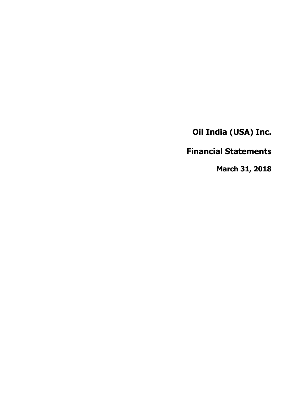# **Financial Statements**

**March 31, 2018**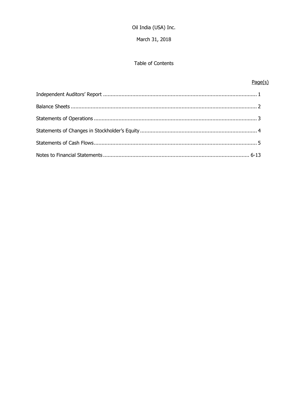# March 31, 2018

# Table of Contents

# $Page(s)$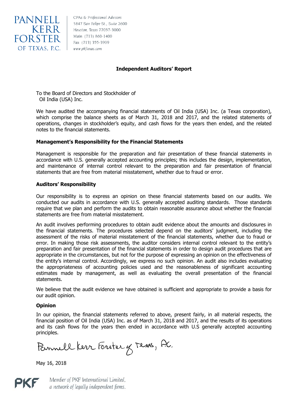

PANNELL | CPAs & Professional Advisors<br>5847 San Felipe St., Suite 2600 KERR Houston, Texas 77057-3000

# **Independent Auditors' Report**

To the Board of Directors and Stockholder of Oil India (USA) Inc.

We have audited the accompanying financial statements of Oil India (USA) Inc. (a Texas corporation), which comprise the balance sheets as of March 31, 2018 and 2017, and the related statements of operations, changes in stockholder's equity, and cash flows for the years then ended, and the related notes to the financial statements.

# **Management's Responsibility for the Financial Statements**

Management is responsible for the preparation and fair presentation of these financial statements in accordance with U.S. generally accepted accounting principles; this includes the design, implementation, and maintenance of internal control relevant to the preparation and fair presentation of financial statements that are free from material misstatement, whether due to fraud or error.

# **Auditors' Responsibility**

Our responsibility is to express an opinion on these financial statements based on our audits. We conducted our audits in accordance with U.S. generally accepted auditing standards. Those standards require that we plan and perform the audits to obtain reasonable assurance about whether the financial statements are free from material misstatement.

An audit involves performing procedures to obtain audit evidence about the amounts and disclosures in the financial statements. The procedures selected depend on the auditors' judgment, including the assessment of the risks of material misstatement of the financial statements, whether due to fraud or error. In making those risk assessments, the auditor considers internal control relevant to the entity's preparation and fair presentation of the financial statements in order to design audit procedures that are appropriate in the circumstances, but not for the purpose of expressing an opinion on the effectiveness of the entity's internal control. Accordingly, we express no such opinion. An audit also includes evaluating the appropriateness of accounting policies used and the reasonableness of significant accounting estimates made by management, as well as evaluating the overall presentation of the financial statements.

We believe that the audit evidence we have obtained is sufficient and appropriate to provide a basis for our audit opinion.

# **Opinion**

In our opinion, the financial statements referred to above, present fairly, in all material respects, the financial position of Oil India (USA) Inc. as of March 31, 2018 and 2017, and the results of its operations and its cash flows for the years then ended in accordance with U.S generally accepted accounting principles.

Pannell Kerr Forster y Texas, A.C.

May 16, 2018



Member of PKF International Limited, a network of legally independent firms.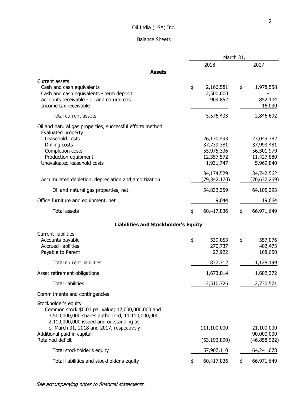# Balance Sheets

|                                                                                                                                                                                                                                                                       |                                                                                  | March 31,                                                                        |
|-----------------------------------------------------------------------------------------------------------------------------------------------------------------------------------------------------------------------------------------------------------------------|----------------------------------------------------------------------------------|----------------------------------------------------------------------------------|
|                                                                                                                                                                                                                                                                       | 2018                                                                             | 2017                                                                             |
| <b>Assets</b>                                                                                                                                                                                                                                                         |                                                                                  |                                                                                  |
| Current assets<br>Cash and cash equivalents<br>Cash and cash equivalents - term deposit<br>Accounts receivable - oil and natural gas<br>Income tax receivable                                                                                                         | \$<br>2,166,581<br>2,500,000<br>909,852                                          | 1,978,558<br>\$<br>852,104<br>16,030                                             |
| Total current assets                                                                                                                                                                                                                                                  | 5,576,433                                                                        | 2,846,692                                                                        |
| Oil and natural gas properties, successful efforts method<br>Evaluated property<br>Leasehold costs<br>Drilling costs<br>Completion costs<br>Production equipment<br>Unevaluated leasehold costs                                                                       | 26,170,493<br>37,739,381<br>55,975,336<br>12,357,572<br>1,931,747<br>134,174,529 | 23,049,382<br>37,993,481<br>56,301,979<br>11,427,880<br>5,969,840<br>134,742,562 |
| Accumulated depletion, depreciation and amortization                                                                                                                                                                                                                  | (79, 342, 170)                                                                   | (70, 637, 269)                                                                   |
| Oil and natural gas properties, net                                                                                                                                                                                                                                   | 54,832,359                                                                       | 64,105,293                                                                       |
| Office furniture and equipment, net                                                                                                                                                                                                                                   | 9,044                                                                            | 19,664                                                                           |
| <b>Total assets</b>                                                                                                                                                                                                                                                   | \$<br>60,417,836                                                                 | \$<br>66,971,649                                                                 |
| <b>Liabilities and Stockholder's Equity</b>                                                                                                                                                                                                                           |                                                                                  |                                                                                  |
| <b>Current liabilities</b><br>Accounts payable<br><b>Accrued liabilities</b><br>Payable to Parent                                                                                                                                                                     | \$<br>539,053<br>270,737<br>27,922                                               | 557,076<br>\$<br>402,473<br>168,650                                              |
| <b>Total current liabilities</b>                                                                                                                                                                                                                                      | 837,712                                                                          | 1,128,199                                                                        |
| Asset retirement obligations                                                                                                                                                                                                                                          | 1,673,014                                                                        | 1,602,372                                                                        |
| <b>Total liabilities</b>                                                                                                                                                                                                                                              | 2,510,726                                                                        | 2,730,571                                                                        |
| Commitments and contingencies                                                                                                                                                                                                                                         |                                                                                  |                                                                                  |
| Stockholder's equity<br>Common stock \$0.01 par value; 12,000,000,000 and<br>3,500,000,000 shares authorized, 11,110,000,000<br>2,110,000,000 issued and outstanding as<br>of March 31, 2018 and 2017, respectively<br>Additional paid in capital<br>Retained deficit | 111,100,000<br>(53, 192, 890)                                                    | 21,100,000<br>90,000,000<br>(46,858,922)                                         |
| Total stockholder's equity                                                                                                                                                                                                                                            | 57,907,110                                                                       | 64,241,078                                                                       |
| Total liabilities and stockholder's equity                                                                                                                                                                                                                            | 60,417,836                                                                       | 66,971,649                                                                       |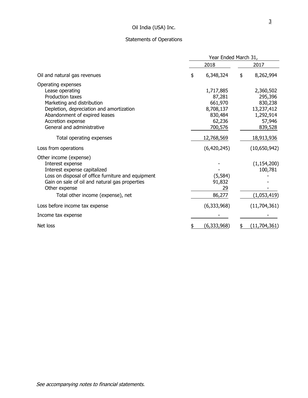# Statements of Operations

|                                                    | Year Ended March 31, |             |    |               |  |  |
|----------------------------------------------------|----------------------|-------------|----|---------------|--|--|
|                                                    |                      | 2018        |    | 2017          |  |  |
| Oil and natural gas revenues                       | \$                   | 6,348,324   | \$ | 8,262,994     |  |  |
| Operating expenses                                 |                      |             |    |               |  |  |
| Lease operating                                    |                      | 1,717,885   |    | 2,360,502     |  |  |
| Production taxes                                   |                      | 87,281      |    | 295,396       |  |  |
| Marketing and distribution                         |                      | 661,970     |    | 830,238       |  |  |
| Depletion, depreciation and amortization           |                      | 8,708,137   |    | 13,237,412    |  |  |
| Abandonment of expired leases                      |                      | 830,484     |    | 1,292,914     |  |  |
| Accretion expense                                  |                      | 62,236      |    | 57,946        |  |  |
| General and administrative                         |                      | 700,576     |    | 839,528       |  |  |
| Total operating expenses                           |                      | 12,768,569  |    | 18,913,936    |  |  |
| Loss from operations                               |                      | (6,420,245) |    | (10,650,942)  |  |  |
| Other income (expense)                             |                      |             |    |               |  |  |
| Interest expense                                   |                      |             |    | (1, 154, 200) |  |  |
| Interest expense capitalized                       |                      |             |    | 100,781       |  |  |
| Loss on disposal of office furniture and equipment |                      | (5, 584)    |    |               |  |  |
| Gain on sale of oil and natural gas properties     |                      | 91,832      |    |               |  |  |
| Other expense                                      |                      | 29          |    |               |  |  |
| Total other income (expense), net                  |                      | 86,277      |    | (1,053,419)   |  |  |
| Loss before income tax expense                     |                      | (6,333,968) |    | (11,704,361)  |  |  |
| Income tax expense                                 |                      |             |    |               |  |  |
| Net loss                                           |                      | (6,333,968) | \$ | (11,704,361)  |  |  |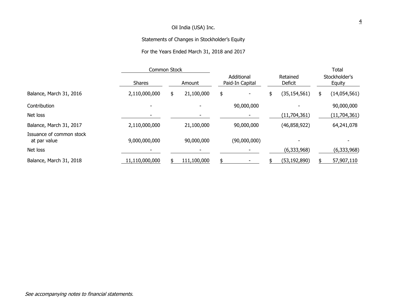# Statements of Changes in Stockholder's Equity

# For the Years Ended March 31, 2018 and 2017

|                                          | Common Stock   |                  |                               |                      | Total                   |
|------------------------------------------|----------------|------------------|-------------------------------|----------------------|-------------------------|
|                                          | <b>Shares</b>  | Amount           | Additional<br>Paid-In Capital | Retained<br>Deficit  | Stockholder's<br>Equity |
| Balance, March 31, 2016                  | 2,110,000,000  | \$<br>21,100,000 | \$<br>۰                       | \$<br>(35, 154, 561) | \$<br>(14,054,561)      |
| Contribution                             |                |                  | 90,000,000                    |                      | 90,000,000              |
| Net loss                                 |                |                  |                               | (11,704,361)         | (11,704,361)            |
| Balance, March 31, 2017                  | 2,110,000,000  | 21,100,000       | 90,000,000                    | (46,858,922)         | 64,241,078              |
| Issuance of common stock<br>at par value | 9,000,000,000  | 90,000,000       | (90,000,000)                  |                      |                         |
| Net loss                                 |                |                  |                               | (6, 333, 968)        | (6,333,968)             |
| Balance, March 31, 2018                  | 11,110,000,000 | 111,100,000      |                               | (53, 192, 890)       | 57,907,110              |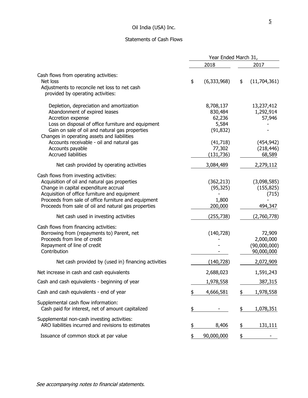# Statements of Cash Flows

|                                                                                                                                                                                                                                                                                                  | Year Ended March 31, |                                                      |           |                                                   |
|--------------------------------------------------------------------------------------------------------------------------------------------------------------------------------------------------------------------------------------------------------------------------------------------------|----------------------|------------------------------------------------------|-----------|---------------------------------------------------|
|                                                                                                                                                                                                                                                                                                  |                      | 2018                                                 |           | 2017                                              |
| Cash flows from operating activities:<br>Net loss<br>Adjustments to reconcile net loss to net cash<br>provided by operating activities:                                                                                                                                                          | \$                   | (6,333,968)                                          | \$        | (11,704,361)                                      |
| Depletion, depreciation and amortization<br>Abandonment of expired leases<br>Accretion expense<br>Loss on disposal of office furniture and equipment<br>Gain on sale of oil and natural gas properties<br>Changes in operating assets and liabilities                                            |                      | 8,708,137<br>830,484<br>62,236<br>5,584<br>(91, 832) |           | 13,237,412<br>1,292,914<br>57,946                 |
| Accounts receivable - oil and natural gas<br>Accounts payable                                                                                                                                                                                                                                    |                      | (41, 718)<br>77,302                                  |           | (454, 942)<br>(218, 446)                          |
| <b>Accrued liabilities</b>                                                                                                                                                                                                                                                                       |                      | (131,736)                                            |           | 68,589                                            |
| Net cash provided by operating activities                                                                                                                                                                                                                                                        |                      | 3,084,489                                            |           | 2,279,112                                         |
| Cash flows from investing activities:<br>Acquisition of oil and natural gas properties<br>Change in capital expenditure accrual<br>Acquisition of office furniture and equipment<br>Proceeds from sale of office furniture and equipment<br>Proceeds from sale of oil and natural gas properties |                      | (362, 213)<br>(95, 325)<br>1,800<br>200,000          |           | (3,098,585)<br>(155, 825)<br>(715)<br>494,347     |
| Net cash used in investing activities                                                                                                                                                                                                                                                            |                      | (255,738)                                            |           | (2,760,778)                                       |
| Cash flows from financing activities:<br>Borrowing from (repayments to) Parent, net<br>Proceeds from line of credit<br>Repayment of line of credit<br>Contribution                                                                                                                               |                      | (140, 728)                                           |           | 72,909<br>2,000,000<br>(90,000,000)<br>90,000,000 |
| Net cash provided by (used in) financing activities                                                                                                                                                                                                                                              |                      | (140, 728)                                           |           | 2,072,909                                         |
| Net increase in cash and cash equivalents                                                                                                                                                                                                                                                        |                      | 2,688,023                                            |           | 1,591,243                                         |
| Cash and cash equivalents - beginning of year                                                                                                                                                                                                                                                    |                      | 1,978,558                                            |           | <u>387,315</u>                                    |
| Cash and cash equivalents - end of year                                                                                                                                                                                                                                                          |                      | 4,666,581                                            |           | 1,978,558                                         |
| Supplemental cash flow information:<br>Cash paid for interest, net of amount capitalized                                                                                                                                                                                                         | \$                   |                                                      | \$        | 1,078,351                                         |
| Supplemental non-cash investing activities:<br>ARO liabilities incurred and revisions to estimates                                                                                                                                                                                               | \$                   | 8,406                                                | \$        | 131,111                                           |
| Issuance of common stock at par value                                                                                                                                                                                                                                                            | \$                   | 90,000,000                                           | <u>\$</u> |                                                   |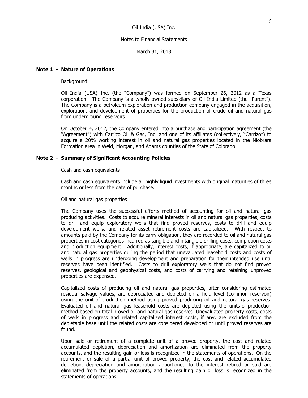March 31, 2018

# **Note 1 - Nature of Operations**

### **Background**

Oil India (USA) Inc. (the "Company") was formed on September 26, 2012 as a Texas corporation. The Company is a wholly-owned subsidiary of Oil India Limited (the "Parent"). The Company is a petroleum exploration and production company engaged in the acquisition, exploration, and development of properties for the production of crude oil and natural gas from underground reservoirs.

On October 4, 2012, the Company entered into a purchase and participation agreement (the "Agreement") with Carrizo Oil & Gas, Inc. and one of its affiliates (collectively, "Carrizo") to acquire a 20% working interest in oil and natural gas properties located in the Niobrara Formation area in Weld, Morgan, and Adams counties of the State of Colorado.

# **Note 2 - Summary of Significant Accounting Policies**

### Cash and cash equivalents

Cash and cash equivalents include all highly liquid investments with original maturities of three months or less from the date of purchase.

#### Oil and natural gas properties

The Company uses the successful efforts method of accounting for oil and natural gas producing activities. Costs to acquire mineral interests in oil and natural gas properties, costs to drill and equip exploratory wells that find proved reserves, costs to drill and equip development wells, and related asset retirement costs are capitalized. With respect to amounts paid by the Company for its carry obligation, they are recorded to oil and natural gas properties in cost categories incurred as tangible and intangible drilling costs, completion costs and production equipment. Additionally, interest costs, if appropriate, are capitalized to oil and natural gas properties during the period that unevaluated leasehold costs and costs of wells in progress are undergoing development and preparation for their intended use until reserves have been identified. Costs to drill exploratory wells that do not find proved reserves, geological and geophysical costs, and costs of carrying and retaining unproved properties are expensed.

Capitalized costs of producing oil and natural gas properties, after considering estimated residual salvage values, are depreciated and depleted on a field level (common reservoir) using the unit-of-production method using proved producing oil and natural gas reserves. Evaluated oil and natural gas leasehold costs are depleted using the units-of-production method based on total proved oil and natural gas reserves. Unevaluated property costs, costs of wells in progress and related capitalized interest costs, if any, are excluded from the depletable base until the related costs are considered developed or until proved reserves are found.

Upon sale or retirement of a complete unit of a proved property, the cost and related accumulated depletion, depreciation and amortization are eliminated from the property accounts, and the resulting gain or loss is recognized in the statements of operations. On the retirement or sale of a partial unit of proved property, the cost and related accumulated depletion, depreciation and amortization apportioned to the interest retired or sold are eliminated from the property accounts, and the resulting gain or loss is recognized in the statements of operations.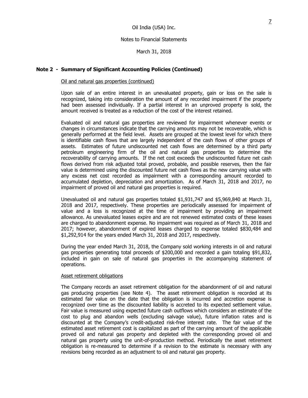March 31, 2018

# **Note 2 - Summary of Significant Accounting Policies (Continued)**

#### Oil and natural gas properties (continued)

Upon sale of an entire interest in an unevaluated property, gain or loss on the sale is recognized, taking into consideration the amount of any recorded impairment if the property had been assessed individually. If a partial interest in an unproved property is sold, the amount received is treated as a reduction of the cost of the interest retained.

Evaluated oil and natural gas properties are reviewed for impairment whenever events or changes in circumstances indicate that the carrying amounts may not be recoverable, which is generally performed at the field level. Assets are grouped at the lowest level for which there is identifiable cash flows that are largely independent of the cash flows of other groups of assets. Estimates of future undiscounted net cash flows are determined by a third party petroleum engineering firm of the oil and natural gas properties to determine the recoverability of carrying amounts. If the net cost exceeds the undiscounted future net cash flows derived from risk adjusted total proved, probable, and possible reserves, then the fair value is determined using the discounted future net cash flows as the new carrying value with any excess net cost recorded as impairment with a corresponding amount recorded to accumulated depletion, depreciation and amortization. As of March 31, 2018 and 2017, no impairment of proved oil and natural gas properties is required.

Unevaluated oil and natural gas properties totaled \$1,931,747 and \$5,969,840 at March 31, 2018 and 2017, respectively. These properties are periodically assessed for impairment of value and a loss is recognized at the time of impairment by providing an impairment allowance. As unevaluated leases expire and are not renewed estimated costs of these leases are charged to abandonment expense. No impairment was required as of March 31, 2018 and 2017; however, abandonment of expired leases charged to expense totaled \$830,484 and \$1,292,914 for the years ended March 31, 2018 and 2017, respectively.

During the year ended March 31, 2018, the Company sold working interests in oil and natural gas properties generating total proceeds of \$200,000 and recorded a gain totaling \$91,832, included in gain on sale of natural gas properties in the accompanying statement of operations.

#### Asset retirement obligations

The Company records an asset retirement obligation for the abandonment of oil and natural gas producing properties (see Note 4). The asset retirement obligation is recorded at its estimated fair value on the date that the obligation is incurred and accretion expense is recognized over time as the discounted liability is accreted to its expected settlement value. Fair value is measured using expected future cash outflows which considers an estimate of the cost to plug and abandon wells (excluding salvage value), future inflation rates and is discounted at the Company's credit-adjusted risk-free interest rate. The fair value of the estimated asset retirement cost is capitalized as part of the carrying amount of the applicable proved oil and natural gas property and depleted with the corresponding proved oil and natural gas property using the unit-of-production method. Periodically the asset retirement obligation is re-measured to determine if a revision to the estimate is necessary with any revisions being recorded as an adjustment to oil and natural gas property.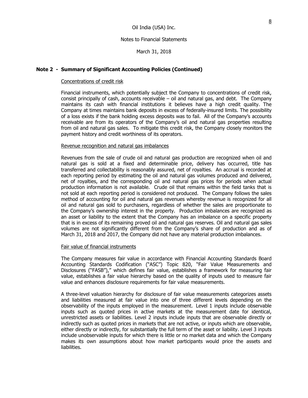March 31, 2018

# **Note 2 - Summary of Significant Accounting Policies (Continued)**

#### Concentrations of credit risk

Financial instruments, which potentially subject the Company to concentrations of credit risk, consist principally of cash, accounts receivable – oil and natural gas, and debt. The Company maintains its cash with financial institutions it believes have a high credit quality. The Company at times maintains bank deposits in excess of federally-insured limits. The possibility of a loss exists if the bank holding excess deposits was to fail. All of the Company's accounts receivable are from its operators of the Company's oil and natural gas properties resulting from oil and natural gas sales. To mitigate this credit risk, the Company closely monitors the payment history and credit worthiness of its operators.

#### Revenue recognition and natural gas imbalances

Revenues from the sale of crude oil and natural gas production are recognized when oil and natural gas is sold at a fixed and determinable price, delivery has occurred, title has transferred and collectability is reasonably assured, net of royalties. An accrual is recorded at each reporting period by estimating the oil and natural gas volumes produced and delivered, net of royalties, and the corresponding oil and natural gas prices for periods when actual production information is not available. Crude oil that remains within the field tanks that is not sold at each reporting period is considered not produced. The Company follows the sales method of accounting for oil and natural gas revenues whereby revenue is recognized for all oil and natural gas sold to purchasers, regardless of whether the sales are proportionate to the Company's ownership interest in the property. Production imbalances are recognized as an asset or liability to the extent that the Company has an imbalance on a specific property that is in excess of its remaining proved oil and natural gas reserves. Oil and natural gas sales volumes are not significantly different from the Company's share of production and as of March 31, 2018 and 2017, the Company did not have any material production imbalances.

#### Fair value of financial instruments

The Company measures fair value in accordance with Financial Accounting Standards Board Accounting Standards Codification ("ASC") Topic 820, "Fair Value Measurements and Disclosures ("FASB")," which defines fair value, establishes a framework for measuring fair value, establishes a fair value hierarchy based on the quality of inputs used to measure fair value and enhances disclosure requirements for fair value measurements.

A three-level valuation hierarchy for disclosure of fair value measurements categorizes assets and liabilities measured at fair value into one of three different levels depending on the observability of the inputs employed in the measurement. Level 1 inputs include observable inputs such as quoted prices in active markets at the measurement date for identical, unrestricted assets or liabilities. Level 2 inputs include inputs that are observable directly or indirectly such as quoted prices in markets that are not active, or inputs which are observable, either directly or indirectly, for substantially the full term of the asset or liability. Level 3 inputs include unobservable inputs for which there is little or no market data and which the Company makes its own assumptions about how market participants would price the assets and liabilities.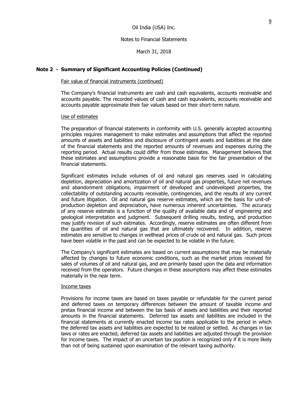March 31, 2018

# **Note 2 - Summary of Significant Accounting Policies (Continued)**

### Fair value of financial instruments (continued)

The Company's financial instruments are cash and cash equivalents, accounts receivable and accounts payable. The recorded values of cash and cash equivalents, accounts receivable and accounts payable approximate their fair values based on their short-term nature.

#### Use of estimates

The preparation of financial statements in conformity with U.S. generally accepted accounting principles requires management to make estimates and assumptions that affect the reported amounts of assets and liabilities and disclosure of contingent assets and liabilities at the date of the financial statements and the reported amounts of revenues and expenses during the reporting period. Actual results could differ from those estimates. Management believes that these estimates and assumptions provide a reasonable basis for the fair presentation of the financial statements.

Significant estimates include volumes of oil and natural gas reserves used in calculating depletion, depreciation and amortization of oil and natural gas properties, future net revenues and abandonment obligations, impairment of developed and undeveloped properties, the collectability of outstanding accounts receivable, contingencies, and the results of any current and future litigation. Oil and natural gas reserve estimates, which are the basis for unit-ofproduction depletion and depreciation, have numerous inherent uncertainties. The accuracy of any reserve estimate is a function of the quality of available data and of engineering and geological interpretation and judgment. Subsequent drilling results, testing, and production may justify revision of such estimates. Accordingly, reserve estimates are often different from the quantities of oil and natural gas that are ultimately recovered. In addition, reserve estimates are sensitive to changes in wellhead prices of crude oil and natural gas. Such prices have been volatile in the past and can be expected to be volatile in the future.

The Company's significant estimates are based on current assumptions that may be materially affected by changes to future economic conditions, such as the market prices received for sales of volumes of oil and natural gas, and are primarily based upon the data and information received from the operators. Future changes in these assumptions may affect these estimates materially in the near term.

#### Income taxes

Provisions for income taxes are based on taxes payable or refundable for the current period and deferred taxes on temporary differences between the amount of taxable income and pretax financial income and between the tax basis of assets and liabilities and their reported amounts in the financial statements. Deferred tax assets and liabilities are included in the financial statements at currently enacted income tax rates applicable to the period in which the deferred tax assets and liabilities are expected to be realized or settled. As changes in tax laws or rates are enacted, deferred tax assets and liabilities are adjusted through the provision for income taxes. The impact of an uncertain tax position is recognized only if it is more likely than not of being sustained upon examination of the relevant taxing authority.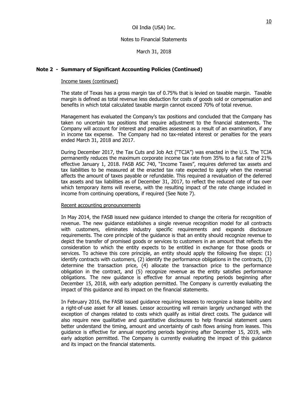March 31, 2018

# **Note 2 - Summary of Significant Accounting Policies (Continued)**

### Income taxes (continued)

The state of Texas has a gross margin tax of 0.75% that is levied on taxable margin. Taxable margin is defined as total revenue less deduction for costs of goods sold or compensation and benefits in which total calculated taxable margin cannot exceed 70% of total revenue.

Management has evaluated the Company's tax positions and concluded that the Company has taken no uncertain tax positions that require adjustment to the financial statements. The Company will account for interest and penalties assessed as a result of an examination, if any in income tax expense. The Company had no tax-related interest or penalties for the years ended March 31, 2018 and 2017.

During December 2017, the Tax Cuts and Job Act ("TCJA") was enacted in the U.S. The TCJA permanently reduces the maximum corporate income tax rate from 35% to a flat rate of 21% effective January 1, 2018. FASB ASC 740, "Income Taxes", requires deferred tax assets and tax liabilities to be measured at the enacted tax rate expected to apply when the reversal affects the amount of taxes payable or refundable. This required a revaluation of the deferred tax assets and tax liabilities as of December 31, 2017, to reflect the reduced rate of tax over which temporary items will reverse, with the resulting impact of the rate change included in income from continuing operations, if required (See Note 7).

### Recent accounting pronouncements

In May 2014, the FASB issued new guidance intended to change the criteria for recognition of revenue. The new guidance establishes a single revenue recognition model for all contracts with customers, eliminates industry specific requirements and expands disclosure requirements. The core principle of the guidance is that an entity should recognize revenue to depict the transfer of promised goods or services to customers in an amount that reflects the consideration to which the entity expects to be entitled in exchange for those goods or services. To achieve this core principle, an entity should apply the following five steps: (1) identify contracts with customers, (2) identify the performance obligations in the contracts, (3) determine the transaction price, (4) allocate the transaction price to the performance obligation in the contract, and (5) recognize revenue as the entity satisfies performance obligations. The new guidance is effective for annual reporting periods beginning after December 15, 2018, with early adoption permitted. The Company is currently evaluating the impact of this guidance and its impact on the financial statements.

In February 2016, the FASB issued guidance requiring lessees to recognize a lease liability and a right-of-use asset for all leases. Lessor accounting will remain largely unchanged with the exception of changes related to costs which qualify as initial direct costs. The guidance will also require new qualitative and quantitative disclosures to help financial statement users better understand the timing, amount and uncertainty of cash flows arising from leases. This guidance is effective for annual reporting periods beginning after December 15, 2019, with early adoption permitted. The Company is currently evaluating the impact of this guidance and its impact on the financial statements.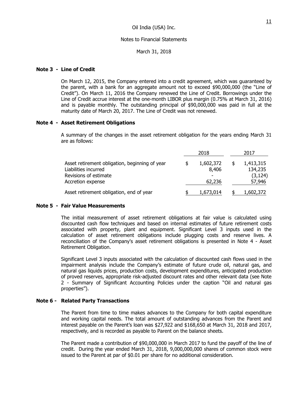March 31, 2018

#### **Note 3 - Line of Credit**

On March 12, 2015, the Company entered into a credit agreement, which was guaranteed by the parent, with a bank for an aggregate amount not to exceed \$90,000,000 (the "Line of Credit"). On March 11, 2016 the Company renewed the Line of Credit. Borrowings under the Line of Credit accrue interest at the one-month LIBOR plus margin (0.75% at March 31, 2016) and is payable monthly. The outstanding principal of \$90,000,000 was paid in full at the maturity date of March 20, 2017. The Line of Credit was not renewed.

# **Note 4 - Asset Retirement Obligations**

A summary of the changes in the asset retirement obligation for the years ending March 31 are as follows:

|                                                                        | 2018               | 2017                       |
|------------------------------------------------------------------------|--------------------|----------------------------|
| Asset retirement obligation, beginning of year<br>Liabilities incurred | 1,602,372<br>8,406 | \$<br>1,413,315<br>134,235 |
| Revisions of estimate<br>Accretion expense                             | 62,236             | (3, 124)<br>57,946         |
| Asset retirement obligation, end of year                               | 1,673,014          | 1,602,372                  |

### **Note 5 - Fair Value Measurements**

The initial measurement of asset retirement obligations at fair value is calculated using discounted cash flow techniques and based on internal estimates of future retirement costs associated with property, plant and equipment. Significant Level 3 inputs used in the calculation of asset retirement obligations include plugging costs and reserve lives. A reconciliation of the Company's asset retirement obligations is presented in Note 4 - Asset Retirement Obligation.

Significant Level 3 inputs associated with the calculation of discounted cash flows used in the impairment analysis include the Company's estimate of future crude oil, natural gas, and natural gas liquids prices, production costs, development expenditures, anticipated production of proved reserves, appropriate risk-adjusted discount rates and other relevant data (see Note 2 - Summary of Significant Accounting Policies under the caption "Oil and natural gas properties").

### **Note 6 - Related Party Transactions**

The Parent from time to time makes advances to the Company for both capital expenditure and working capital needs. The total amount of outstanding advances from the Parent and interest payable on the Parent's loan was \$27,922 and \$168,650 at March 31, 2018 and 2017, respectively, and is recorded as payable to Parent on the balance sheets.

The Parent made a contribution of \$90,000,000 in March 2017 to fund the payoff of the line of credit. During the year ended March 31, 2018, 9,000,000,000 shares of common stock were issued to the Parent at par of \$0.01 per share for no additional consideration.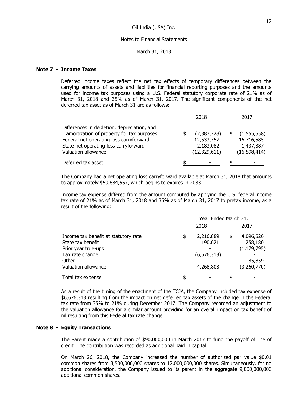#### March 31, 2018

### **Note 7 - Income Taxes**

Deferred income taxes reflect the net tax effects of temporary differences between the carrying amounts of assets and liabilities for financial reporting purposes and the amounts used for income tax purposes using a U.S. Federal statutory corporate rate of 21% as of March 31, 2018 and 35% as of March 31, 2017. The significant components of the net deferred tax asset as of March 31 are as follows:

|                                                                                                                                                                                                     | 2018                                                     | 2017                                                       |
|-----------------------------------------------------------------------------------------------------------------------------------------------------------------------------------------------------|----------------------------------------------------------|------------------------------------------------------------|
| Differences in depletion, depreciation, and<br>amortization of property for tax purposes<br>Federal net operating loss carryforward<br>State net operating loss carryforward<br>Valuation allowance | (2,387,228)<br>12,533,757<br>2,183,082<br>(12, 329, 611) | (1, 555, 558)<br>16,716,585<br>1,437,387<br>(16, 598, 414) |
| Deferred tax asset                                                                                                                                                                                  |                                                          |                                                            |

The Company had a net operating loss carryforward available at March 31, 2018 that amounts to approximately \$59,684,557, which begins to expires in 2033.

Income tax expense differed from the amount computed by applying the U.S. federal income tax rate of 21% as of March 31, 2018 and 35% as of March 31, 2017 to pretax income, as a result of the following:

|                                                                                                                                     | Year Ended March 31, |                                                  |    |                                                                |
|-------------------------------------------------------------------------------------------------------------------------------------|----------------------|--------------------------------------------------|----|----------------------------------------------------------------|
|                                                                                                                                     |                      | 2018                                             |    | 2017                                                           |
| Income tax benefit at statutory rate<br>State tax benefit<br>Prior year true-ups<br>Tax rate change<br>Other<br>Valuation allowance | \$                   | 2,216,889<br>190,621<br>(6,676,313)<br>4,268,803 | \$ | 4,096,526<br>258,180<br>(1, 179, 795)<br>85,859<br>(3,260,770) |
| Total tax expense                                                                                                                   | \$                   |                                                  |    |                                                                |

As a result of the timing of the enactment of the TCJA, the Company included tax expense of \$6,676,313 resulting from the impact on net deferred tax assets of the change in the Federal tax rate from 35% to 21% during December 2017. The Company recorded an adjustment to the valuation allowance for a similar amount providing for an overall impact on tax benefit of nil resulting from this Federal tax rate change.

#### **Note 8 - Equity Transactions**

The Parent made a contribution of \$90,000,000 in March 2017 to fund the payoff of line of credit. The contribution was recorded as additional paid in capital.

On March 26, 2018, the Company increased the number of authorized par value \$0.01 common shares from 3,500,000,000 shares to 12,000,000,000 shares. Simultaneously, for no additional consideration, the Company issued to its parent in the aggregate 9,000,000,000 additional common shares.